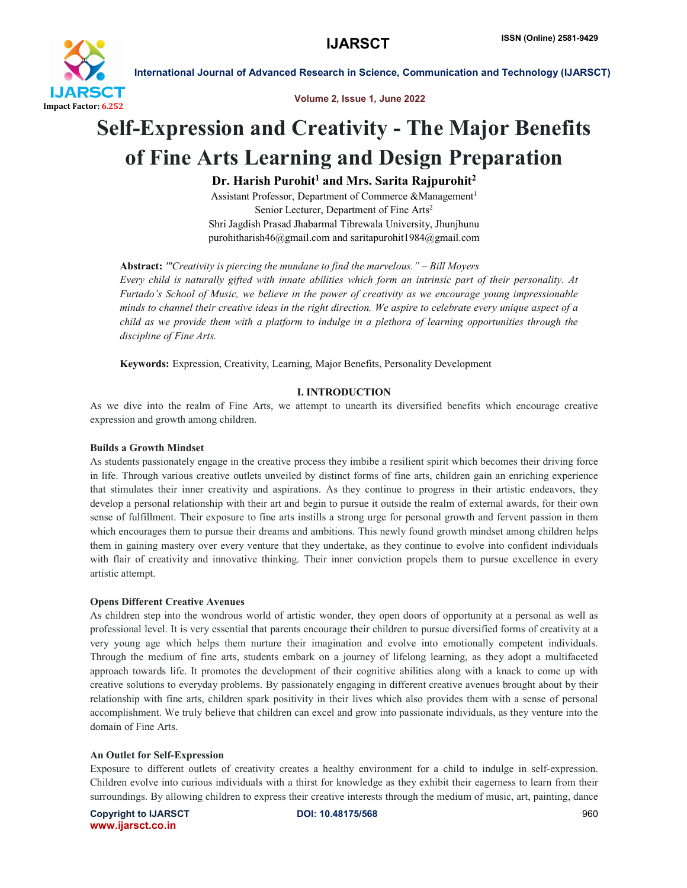

Volume 2, Issue 1, June 2022

# Self-Expression and Creativity - The Major Benefits of Fine Arts Learning and Design Preparation

 $Dr.$  Harish Purohit<sup>1</sup> and Mrs. Sarita Rajpurohit<sup>2</sup>

Assistant Professor, Department of Commerce &Management<sup>1</sup> Senior Lecturer, Department of Fine Arts2 Shri Jagdish Prasad Jhabarmal Tibrewala University, Jhunjhunu purohitharish46@gmail.com and saritapurohit1984@gmail.com

Abstract: *'"Creativity is piercing the mundane to find the marvelous." – Bill Moyers Every child is naturally gifted with innate abilities which form an intrinsic part of their personality. At Furtado's School of Music, we believe in the power of creativity as we encourage young impressionable minds to channel their creative ideas in the right direction. We aspire to celebrate every unique aspect of a child as we provide them with a platform to indulge in a plethora of learning opportunities through the discipline of Fine Arts.*

Keywords: Expression, Creativity, Learning, Major Benefits, Personality Development

## I. INTRODUCTION

As we dive into the realm of Fine Arts, we attempt to unearth its diversified benefits which encourage creative expression and growth among children.

#### Builds a Growth Mindset

As students passionately engage in the creative process they imbibe a resilient spirit which becomes their driving force in life. Through various creative outlets unveiled by distinct forms of fine arts, children gain an enriching experience that stimulates their inner creativity and aspirations. As they continue to progress in their artistic endeavors, they develop a personal relationship with their art and begin to pursue it outside the realm of external awards, for their own sense of fulfillment. Their exposure to fine arts instills a strong urge for personal growth and fervent passion in them which encourages them to pursue their dreams and ambitions. This newly found growth mindset among children helps them in gaining mastery over every venture that they undertake, as they continue to evolve into confident individuals with flair of creativity and innovative thinking. Their inner conviction propels them to pursue excellence in every artistic attempt.

## Opens Different Creative Avenues

As children step into the wondrous world of artistic wonder, they open doors of opportunity at a personal as well as professional level. It is very essential that parents encourage their children to pursue diversified forms of creativity at a very young age which helps them nurture their imagination and evolve into emotionally competent individuals. Through the medium of fine arts, students embark on a journey of lifelong learning, as they adopt a multifaceted approach towards life. It promotes the development of their cognitive abilities along with a knack to come up with creative solutions to everyday problems. By passionately engaging in different creative avenues brought about by their relationship with fine arts, children spark positivity in their lives which also provides them with a sense of personal accomplishment. We truly believe that children can excel and grow into passionate individuals, as they venture into the domain of Fine Arts.

#### An Outlet for Self-Expression

Exposure to different outlets of creativity creates a healthy environment for a child to indulge in self-expression. Children evolve into curious individuals with a thirst for knowledge as they exhibit their eagerness to learn from their surroundings. By allowing children to express their creative interests through the medium of music, art, painting, dance

Copyright to IJARSCT **DOI: 10.48175/568** 960 www.ijarsct.co.in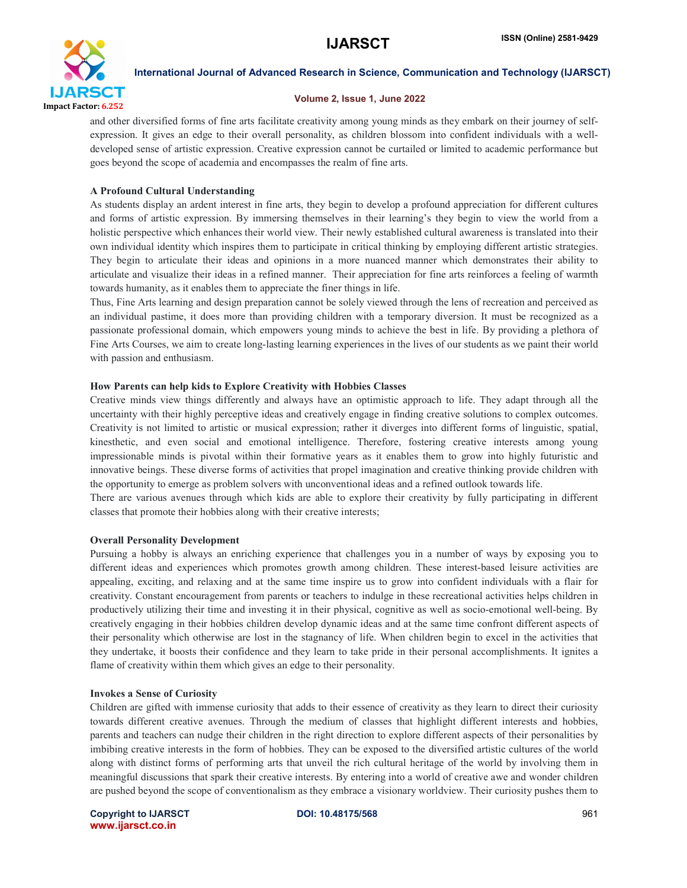

### Volume 2, Issue 1, June 2022

and other diversified forms of fine arts facilitate creativity among young minds as they embark on their journey of selfexpression. It gives an edge to their overall personality, as children blossom into confident individuals with a welldeveloped sense of artistic expression. Creative expression cannot be curtailed or limited to academic performance but goes beyond the scope of academia and encompasses the realm of fine arts.

## A Profound Cultural Understanding

As students display an ardent interest in fine arts, they begin to develop a profound appreciation for different cultures and forms of artistic expression. By immersing themselves in their learning's they begin to view the world from a holistic perspective which enhances their world view. Their newly established cultural awareness is translated into their own individual identity which inspires them to participate in critical thinking by employing different artistic strategies. They begin to articulate their ideas and opinions in a more nuanced manner which demonstrates their ability to articulate and visualize their ideas in a refined manner. Their appreciation for fine arts reinforces a feeling of warmth towards humanity, as it enables them to appreciate the finer things in life.

Thus, Fine Arts learning and design preparation cannot be solely viewed through the lens of recreation and perceived as an individual pastime, it does more than providing children with a temporary diversion. It must be recognized as a passionate professional domain, which empowers young minds to achieve the best in life. By providing a plethora of Fine Arts Courses, we aim to create long-lasting learning experiences in the lives of our students as we paint their world with passion and enthusiasm.

## How Parents can help kids to Explore Creativity with Hobbies Classes

Creative minds view things differently and always have an optimistic approach to life. They adapt through all the uncertainty with their highly perceptive ideas and creatively engage in finding creative solutions to complex outcomes. Creativity is not limited to artistic or musical expression; rather it diverges into different forms of linguistic, spatial, kinesthetic, and even social and emotional intelligence. Therefore, fostering creative interests among young impressionable minds is pivotal within their formative years as it enables them to grow into highly futuristic and innovative beings. These diverse forms of activities that propel imagination and creative thinking provide children with the opportunity to emerge as problem solvers with unconventional ideas and a refined outlook towards life.

There are various avenues through which kids are able to explore their creativity by fully participating in different classes that promote their hobbies along with their creative interests;

## Overall Personality Development

Pursuing a hobby is always an enriching experience that challenges you in a number of ways by exposing you to different ideas and experiences which promotes growth among children. These interest-based leisure activities are appealing, exciting, and relaxing and at the same time inspire us to grow into confident individuals with a flair for creativity. Constant encouragement from parents or teachers to indulge in these recreational activities helps children in productively utilizing their time and investing it in their physical, cognitive as well as socio-emotional well-being. By creatively engaging in their hobbies children develop dynamic ideas and at the same time confront different aspects of their personality which otherwise are lost in the stagnancy of life. When children begin to excel in the activities that they undertake, it boosts their confidence and they learn to take pride in their personal accomplishments. It ignites a flame of creativity within them which gives an edge to their personality.

#### Invokes a Sense of Curiosity

Children are gifted with immense curiosity that adds to their essence of creativity as they learn to direct their curiosity towards different creative avenues. Through the medium of classes that highlight different interests and hobbies, parents and teachers can nudge their children in the right direction to explore different aspects of their personalities by imbibing creative interests in the form of hobbies. They can be exposed to the diversified artistic cultures of the world along with distinct forms of performing arts that unveil the rich cultural heritage of the world by involving them in meaningful discussions that spark their creative interests. By entering into a world of creative awe and wonder children are pushed beyond the scope of conventionalism as they embrace a visionary worldview. Their curiosity pushes them to

Copyright to IJARSCT **DOI: 10.48175/568** 961 www.ijarsct.co.in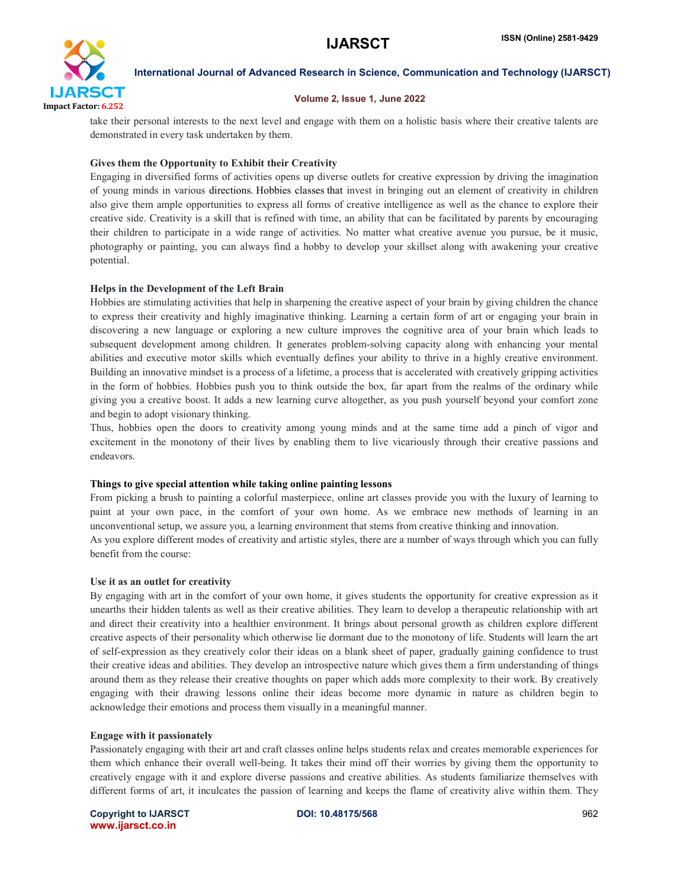

#### Volume 2, Issue 1, June 2022

take their personal interests to the next level and engage with them on a holistic basis where their creative talents are demonstrated in every task undertaken by them.

### Gives them the Opportunity to Exhibit their Creativity

Engaging in diversified forms of activities opens up diverse outlets for creative expression by driving the imagination of young minds in various directions. Hobbies classes that invest in bringing out an element of creativity in children also give them ample opportunities to express all forms of creative intelligence as well as the chance to explore their creative side. Creativity is a skill that is refined with time, an ability that can be facilitated by parents by encouraging their children to participate in a wide range of activities. No matter what creative avenue you pursue, be it music, photography or painting, you can always find a hobby to develop your skillset along with awakening your creative potential.

#### Helps in the Development of the Left Brain

Hobbies are stimulating activities that help in sharpening the creative aspect of your brain by giving children the chance to express their creativity and highly imaginative thinking. Learning a certain form of art or engaging your brain in discovering a new language or exploring a new culture improves the cognitive area of your brain which leads to subsequent development among children. It generates problem-solving capacity along with enhancing your mental abilities and executive motor skills which eventually defines your ability to thrive in a highly creative environment. Building an innovative mindset is a process of a lifetime, a process that is accelerated with creatively gripping activities in the form of hobbies. Hobbies push you to think outside the box, far apart from the realms of the ordinary while giving you a creative boost. It adds a new learning curve altogether, as you push yourself beyond your comfort zone and begin to adopt visionary thinking.

Thus, hobbies open the doors to creativity among young minds and at the same time add a pinch of vigor and excitement in the monotony of their lives by enabling them to live vicariously through their creative passions and endeavors.

#### Things to give special attention while taking online painting lessons

From picking a brush to painting a colorful masterpiece, online art classes provide you with the luxury of learning to paint at your own pace, in the comfort of your own home. As we embrace new methods of learning in an unconventional setup, we assure you, a learning environment that stems from creative thinking and innovation. As you explore different modes of creativity and artistic styles, there are a number of ways through which you can fully benefit from the course:

#### Use it as an outlet for creativity

By engaging with art in the comfort of your own home, it gives students the opportunity for creative expression as it unearths their hidden talents as well as their creative abilities. They learn to develop a therapeutic relationship with art and direct their creativity into a healthier environment. It brings about personal growth as children explore different creative aspects of their personality which otherwise lie dormant due to the monotony of life. Students will learn the art of self-expression as they creatively color their ideas on a blank sheet of paper, gradually gaining confidence to trust their creative ideas and abilities. They develop an introspective nature which gives them a firm understanding of things around them as they release their creative thoughts on paper which adds more complexity to their work. By creatively engaging with their drawing lessons online their ideas become more dynamic in nature as children begin to acknowledge their emotions and process them visually in a meaningful manner.

#### Engage with it passionately

Passionately engaging with their art and craft classes online helps students relax and creates memorable experiences for them which enhance their overall well-being. It takes their mind off their worries by giving them the opportunity to creatively engage with it and explore diverse passions and creative abilities. As students familiarize themselves with different forms of art, it inculcates the passion of learning and keeps the flame of creativity alive within them. They

Copyright to IJARSCT **DOI: 10.48175/568** 962 www.ijarsct.co.in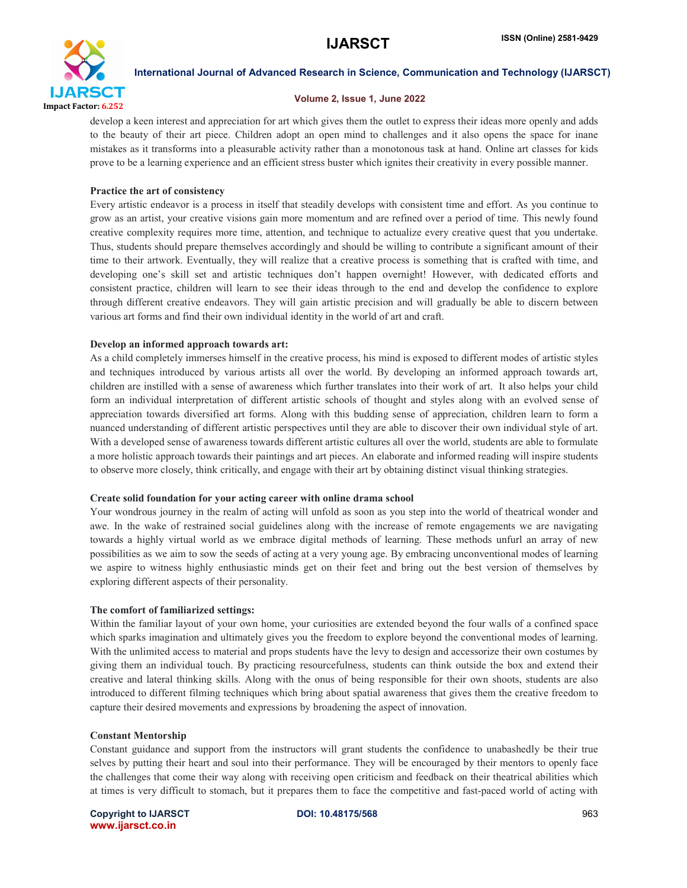

### Volume 2, Issue 1, June 2022

develop a keen interest and appreciation for art which gives them the outlet to express their ideas more openly and adds to the beauty of their art piece. Children adopt an open mind to challenges and it also opens the space for inane mistakes as it transforms into a pleasurable activity rather than a monotonous task at hand. Online art classes for kids prove to be a learning experience and an efficient stress buster which ignites their creativity in every possible manner.

#### Practice the art of consistency

Every artistic endeavor is a process in itself that steadily develops with consistent time and effort. As you continue to grow as an artist, your creative visions gain more momentum and are refined over a period of time. This newly found creative complexity requires more time, attention, and technique to actualize every creative quest that you undertake. Thus, students should prepare themselves accordingly and should be willing to contribute a significant amount of their time to their artwork. Eventually, they will realize that a creative process is something that is crafted with time, and developing one's skill set and artistic techniques don't happen overnight! However, with dedicated efforts and consistent practice, children will learn to see their ideas through to the end and develop the confidence to explore through different creative endeavors. They will gain artistic precision and will gradually be able to discern between various art forms and find their own individual identity in the world of art and craft.

#### Develop an informed approach towards art:

As a child completely immerses himself in the creative process, his mind is exposed to different modes of artistic styles and techniques introduced by various artists all over the world. By developing an informed approach towards art, children are instilled with a sense of awareness which further translates into their work of art. It also helps your child form an individual interpretation of different artistic schools of thought and styles along with an evolved sense of appreciation towards diversified art forms. Along with this budding sense of appreciation, children learn to form a nuanced understanding of different artistic perspectives until they are able to discover their own individual style of art. With a developed sense of awareness towards different artistic cultures all over the world, students are able to formulate a more holistic approach towards their paintings and art pieces. An elaborate and informed reading will inspire students to observe more closely, think critically, and engage with their art by obtaining distinct visual thinking strategies.

#### Create solid foundation for your acting career with online drama school

Your wondrous journey in the realm of acting will unfold as soon as you step into the world of theatrical wonder and awe. In the wake of restrained social guidelines along with the increase of remote engagements we are navigating towards a highly virtual world as we embrace digital methods of learning. These methods unfurl an array of new possibilities as we aim to sow the seeds of acting at a very young age. By embracing unconventional modes of learning we aspire to witness highly enthusiastic minds get on their feet and bring out the best version of themselves by exploring different aspects of their personality.

#### The comfort of familiarized settings:

Within the familiar layout of your own home, your curiosities are extended beyond the four walls of a confined space which sparks imagination and ultimately gives you the freedom to explore beyond the conventional modes of learning. With the unlimited access to material and props students have the levy to design and accessorize their own costumes by giving them an individual touch. By practicing resourcefulness, students can think outside the box and extend their creative and lateral thinking skills. Along with the onus of being responsible for their own shoots, students are also introduced to different filming techniques which bring about spatial awareness that gives them the creative freedom to capture their desired movements and expressions by broadening the aspect of innovation.

#### Constant Mentorship

Constant guidance and support from the instructors will grant students the confidence to unabashedly be their true selves by putting their heart and soul into their performance. They will be encouraged by their mentors to openly face the challenges that come their way along with receiving open criticism and feedback on their theatrical abilities which at times is very difficult to stomach, but it prepares them to face the competitive and fast-paced world of acting with

Copyright to IJARSCT **DOI: 10.48175/568** 963 www.ijarsct.co.in